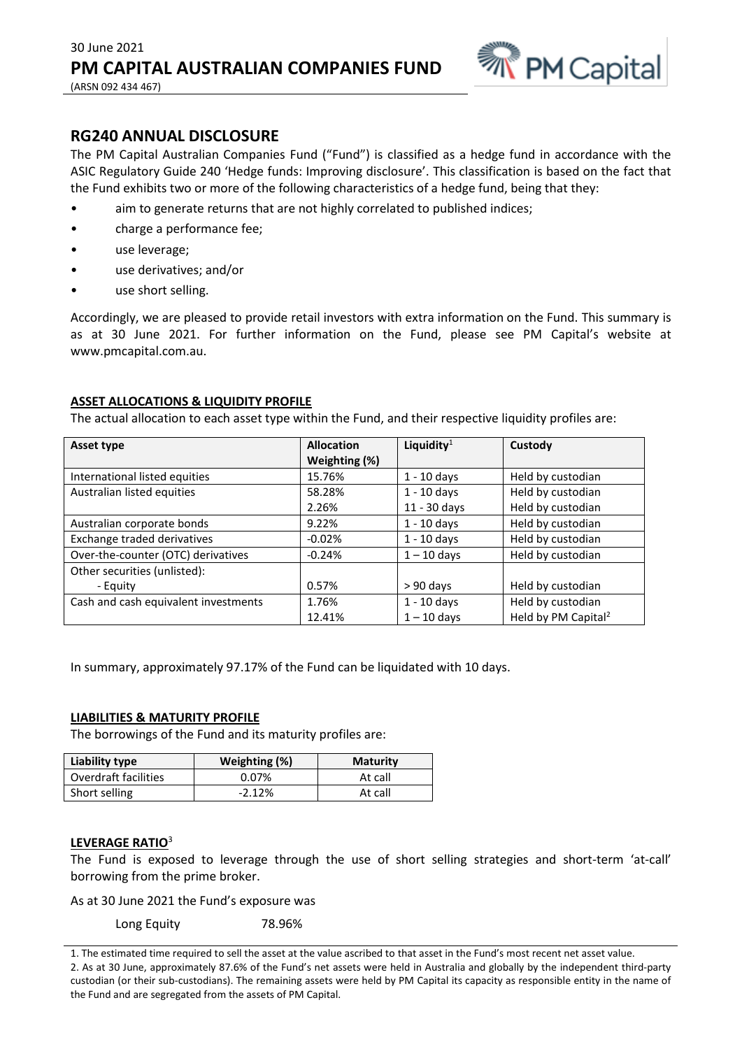

## **RG240 ANNUAL DISCLOSURE**

The PM Capital Australian Companies Fund ("Fund") is classified as a hedge fund in accordance with the ASIC Regulatory Guide 240 'Hedge funds: Improving disclosure'. This classification is based on the fact that the Fund exhibits two or more of the following characteristics of a hedge fund, being that they:

- aim to generate returns that are not highly correlated to published indices;
- charge a performance fee;
- use leverage;
- use derivatives; and/or
- use short selling.

Accordingly, we are pleased to provide retail investors with extra information on the Fund. This summary is as at 30 June 2021. For further information on the Fund, please see PM Capital's website at www.pmcapital.com.au.

### **ASSET ALLOCATIONS & LIQUIDITY PROFILE**

The actual allocation to each asset type within the Fund, and their respective liquidity profiles are:

| Asset type                           | <b>Allocation</b> | Liquidity $1$ | Custody                         |
|--------------------------------------|-------------------|---------------|---------------------------------|
|                                      | Weighting (%)     |               |                                 |
| International listed equities        | 15.76%            | $1 - 10$ days | Held by custodian               |
| Australian listed equities           | 58.28%            | $1 - 10$ days | Held by custodian               |
|                                      | 2.26%             | 11 - 30 days  | Held by custodian               |
| Australian corporate bonds           | 9.22%             | $1 - 10$ days | Held by custodian               |
| Exchange traded derivatives          | $-0.02%$          | $1 - 10$ days | Held by custodian               |
| Over-the-counter (OTC) derivatives   | $-0.24%$          | $1 - 10$ days | Held by custodian               |
| Other securities (unlisted):         |                   |               |                                 |
| - Equity                             | 0.57%             | $> 90$ days   | Held by custodian               |
| Cash and cash equivalent investments | 1.76%             | $1 - 10$ days | Held by custodian               |
|                                      | 12.41%            | $1 - 10$ days | Held by PM Capital <sup>2</sup> |

In summary, approximately 97.17% of the Fund can be liquidated with 10 days.

### **LIABILITIES & MATURITY PROFILE**

The borrowings of the Fund and its maturity profiles are:

| Liability type       | Weighting (%) | <b>Maturity</b> |
|----------------------|---------------|-----------------|
| Overdraft facilities | 0.07%         | At call         |
| Short selling        | $-2.12%$      | At call         |

### **LEVERAGE RATIO**<sup>3</sup>

The Fund is exposed to leverage through the use of short selling strategies and short-term 'at-call' borrowing from the prime broker.

As at 30 June 2021 the Fund's exposure was

Long Equity 78.96%

<sup>1.</sup> The estimated time required to sell the asset at the value ascribed to that asset in the Fund's most recent net asset value. 2. As at 30 June, approximately 87.6% of the Fund's net assets were held in Australia and globally by the independent third-party custodian (or their sub-custodians). The remaining assets were held by PM Capital its capacity as responsible entity in the name of the Fund and are segregated from the assets of PM Capital.